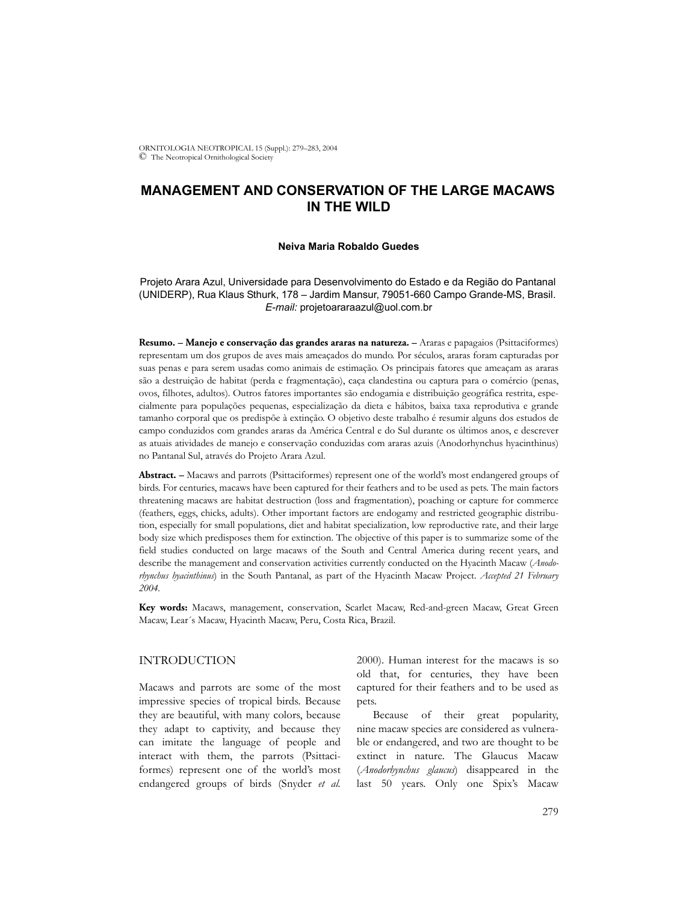ORNITOLOGIA NEOTROPICAL 15 (Suppl.): 279–283, 2004 © The Neotropical Ornithological Society

# **MANAGEMENT AND CONSERVATION OF THE LARGE MACAWS IN THE WILD**

#### **Neiva Maria Robaldo Guedes**

## Projeto Arara Azul, Universidade para Desenvolvimento do Estado e da Região do Pantanal (UNIDERP), Rua Klaus Sthurk, 178 – Jardim Mansur, 79051-660 Campo Grande-MS, Brasil. *E-mail:* projetoararaazul@uol.com.br

**Resumo. – Manejo e conservação das grandes araras na natureza. –** Araras e papagaios (Psittaciformes) representam um dos grupos de aves mais ameaçados do mundo. Por séculos, araras foram capturadas por suas penas e para serem usadas como animais de estimação. Os principais fatores que ameaçam as araras são a destruição de habitat (perda e fragmentação), caça clandestina ou captura para o comércio (penas, ovos, filhotes, adultos). Outros fatores importantes são endogamia e distribuição geográfica restrita, especialmente para populações pequenas, especialização da dieta e hábitos, baixa taxa reprodutiva e grande tamanho corporal que os predispõe à extinção. O objetivo deste trabalho é resumir alguns dos estudos de campo conduzidos com grandes araras da América Central e do Sul durante os últimos anos, e descrever as atuais atividades de manejo e conservação conduzidas com araras azuis (Anodorhynchus hyacinthinus) no Pantanal Sul, através do Projeto Arara Azul.

**Abstract. –** Macaws and parrots (Psittaciformes) represent one of the world's most endangered groups of birds. For centuries, macaws have been captured for their feathers and to be used as pets. The main factors threatening macaws are habitat destruction (loss and fragmentation), poaching or capture for commerce (feathers, eggs, chicks, adults). Other important factors are endogamy and restricted geographic distribution, especially for small populations, diet and habitat specialization, low reproductive rate, and their large body size which predisposes them for extinction. The objective of this paper is to summarize some of the field studies conducted on large macaws of the South and Central America during recent years, and describe the management and conservation activities currently conducted on the Hyacinth Macaw (*Anodorhynchus hyacinthinus*) in the South Pantanal, as part of the Hyacinth Macaw Project. *Accepted 21 February 2004.*

**Key words:** Macaws, management, conservation, Scarlet Macaw, Red-and-green Macaw, Great Green Macaw, Lear´s Macaw, Hyacinth Macaw, Peru, Costa Rica, Brazil.

## INTRODUCTION

Macaws and parrots are some of the most impressive species of tropical birds. Because they are beautiful, with many colors, because they adapt to captivity, and because they can imitate the language of people and interact with them, the parrots (Psittaciformes) represent one of the world's most endangered groups of birds (Snyder *et al.* 2000). Human interest for the macaws is so old that, for centuries, they have been captured for their feathers and to be used as pets.

Because of their great popularity, nine macaw species are considered as vulnerable or endangered, and two are thought to be extinct in nature. The Glaucus Macaw (*Anodorhynchus glaucus*) disappeared in the last 50 years. Only one Spix's Macaw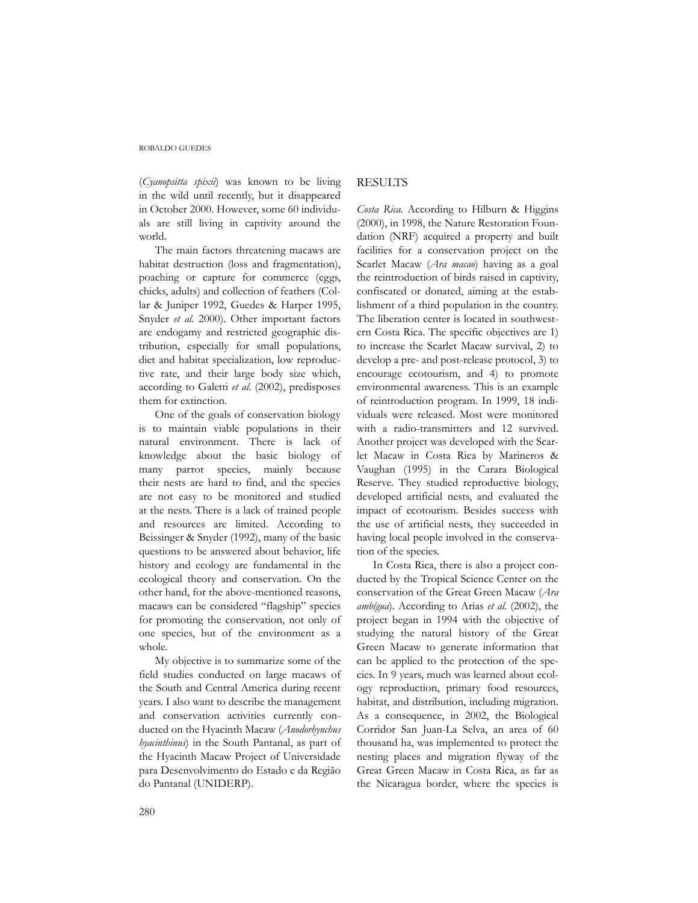#### ROBALDO GUEDES

(*Cyanopsitta spixii*) was known to be living in the wild until recently, but it disappeared in October 2000. However, some 60 individuals are still living in captivity around the world.

The main factors threatening macaws are habitat destruction (loss and fragmentation), poaching or capture for commerce (eggs, chicks, adults) and collection of feathers (Collar & Juniper 1992, Guedes & Harper 1995, Snyder *et al.* 2000). Other important factors are endogamy and restricted geographic distribution, especially for small populations, diet and habitat specialization, low reproductive rate, and their large body size which, according to Galetti *et al*. (2002), predisposes them for extinction.

One of the goals of conservation biology is to maintain viable populations in their natural environment. There is lack of knowledge about the basic biology of many parrot species, mainly because their nests are hard to find, and the species are not easy to be monitored and studied at the nests. There is a lack of trained people and resources are limited. According to Beissinger & Snyder (1992), many of the basic questions to be answered about behavior, life history and ecology are fundamental in the ecological theory and conservation. On the other hand, for the above-mentioned reasons, macaws can be considered "flagship" species for promoting the conservation, not only of one species, but of the environment as a whole.

My objective is to summarize some of the field studies conducted on large macaws of the South and Central America during recent years. I also want to describe the management and conservation activities currently conducted on the Hyacinth Macaw (*Anodorhynchus hyacinthinus*) in the South Pantanal, as part of the Hyacinth Macaw Project of Universidade para Desenvolvimento do Estado e da Região do Pantanal (UNIDERP).

### RESULTS

*Costa Rica.* According to Hilburn & Higgins (2000), in 1998, the Nature Restoration Foundation (NRF) acquired a property and built facilities for a conservation project on the Scarlet Macaw (*Ara macao*) having as a goal the reintroduction of birds raised in captivity, confiscated or donated, aiming at the establishment of a third population in the country. The liberation center is located in southwestern Costa Rica. The specific objectives are 1) to increase the Scarlet Macaw survival, 2) to develop a pre- and post-release protocol, 3) to encourage ecotourism, and 4) to promote environmental awareness. This is an example of reintroduction program. In 1999, 18 individuals were released. Most were monitored with a radio-transmitters and 12 survived. Another project was developed with the Scarlet Macaw in Costa Rica by Marineros & Vaughan (1995) in the Carara Biological Reserve. They studied reproductive biology, developed artificial nests, and evaluated the impact of ecotourism. Besides success with the use of artificial nests, they succeeded in having local people involved in the conservation of the species.

In Costa Rica, there is also a project conducted by the Tropical Science Center on the conservation of the Great Green Macaw (*Ara ambígua*). According to Arias *et al.* (2002), the project began in 1994 with the objective of studying the natural history of the Great Green Macaw to generate information that can be applied to the protection of the species. In 9 years, much was learned about ecology reproduction, primary food resources, habitat, and distribution, including migration. As a consequence, in 2002, the Biological Corridor San Juan-La Selva, an area of 60 thousand ha, was implemented to protect the nesting places and migration flyway of the Great Green Macaw in Costa Rica, as far as the Nicaragua border, where the species is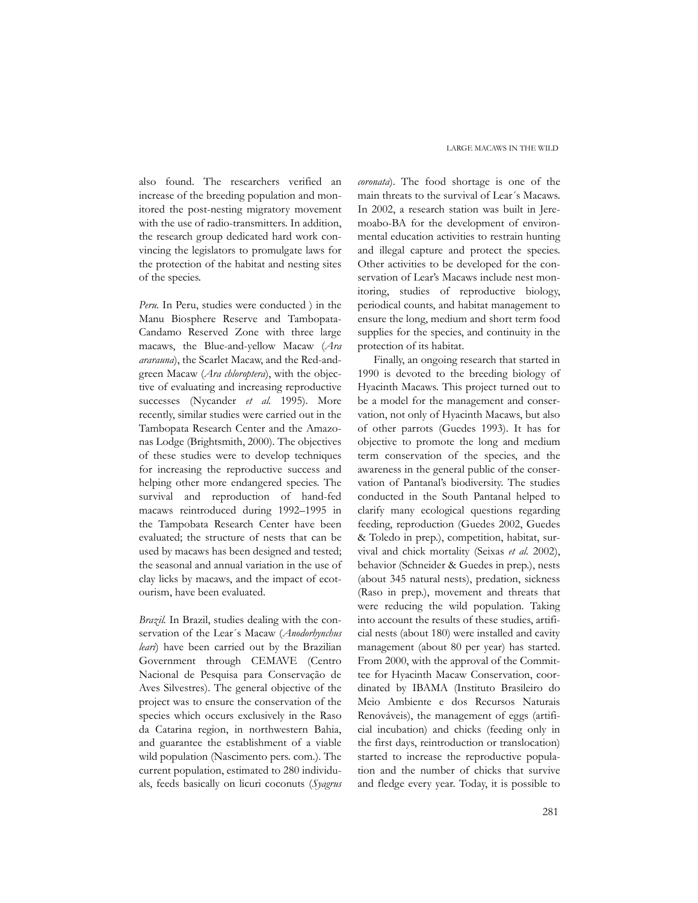also found. The researchers verified an increase of the breeding population and monitored the post-nesting migratory movement with the use of radio-transmitters. In addition, the research group dedicated hard work convincing the legislators to promulgate laws for the protection of the habitat and nesting sites of the species.

*Peru.* In Peru, studies were conducted ) in the Manu Biosphere Reserve and Tambopata-Candamo Reserved Zone with three large macaws, the Blue-and-yellow Macaw (*Ara ararauna*), the Scarlet Macaw, and the Red-andgreen Macaw (*Ara chloroptera*), with the objective of evaluating and increasing reproductive successes (Nycander *et al.* 1995). More recently, similar studies were carried out in the Tambopata Research Center and the Amazonas Lodge (Brightsmith, 2000). The objectives of these studies were to develop techniques for increasing the reproductive success and helping other more endangered species. The survival and reproduction of hand-fed macaws reintroduced during 1992–1995 in the Tampobata Research Center have been evaluated; the structure of nests that can be used by macaws has been designed and tested; the seasonal and annual variation in the use of clay licks by macaws, and the impact of ecotourism, have been evaluated.

*Brazil.* In Brazil, studies dealing with the conservation of the Lear´s Macaw (*Anodorhynchus leari*) have been carried out by the Brazilian Government through CEMAVE (Centro Nacional de Pesquisa para Conservação de Aves Silvestres). The general objective of the project was to ensure the conservation of the species which occurs exclusively in the Raso da Catarina region, in northwestern Bahia, and guarantee the establishment of a viable wild population (Nascimento pers. com.). The current population, estimated to 280 individuals, feeds basically on licuri coconuts (*Syagrus* *coronata*). The food shortage is one of the main threats to the survival of Lear´s Macaws. In 2002, a research station was built in Jeremoabo-BA for the development of environmental education activities to restrain hunting and illegal capture and protect the species. Other activities to be developed for the conservation of Lear's Macaws include nest monitoring, studies of reproductive biology, periodical counts, and habitat management to ensure the long, medium and short term food supplies for the species, and continuity in the protection of its habitat.

Finally, an ongoing research that started in 1990 is devoted to the breeding biology of Hyacinth Macaws. This project turned out to be a model for the management and conservation, not only of Hyacinth Macaws, but also of other parrots (Guedes 1993). It has for objective to promote the long and medium term conservation of the species, and the awareness in the general public of the conservation of Pantanal's biodiversity. The studies conducted in the South Pantanal helped to clarify many ecological questions regarding feeding, reproduction (Guedes 2002, Guedes & Toledo in prep.), competition, habitat, survival and chick mortality (Seixas *et al.* 2002), behavior (Schneider & Guedes in prep.), nests (about 345 natural nests), predation, sickness (Raso in prep.), movement and threats that were reducing the wild population. Taking into account the results of these studies, artificial nests (about 180) were installed and cavity management (about 80 per year) has started. From 2000, with the approval of the Committee for Hyacinth Macaw Conservation, coordinated by IBAMA (Instituto Brasileiro do Meio Ambiente e dos Recursos Naturais Renováveis), the management of eggs (artificial incubation) and chicks (feeding only in the first days, reintroduction or translocation) started to increase the reproductive population and the number of chicks that survive and fledge every year. Today, it is possible to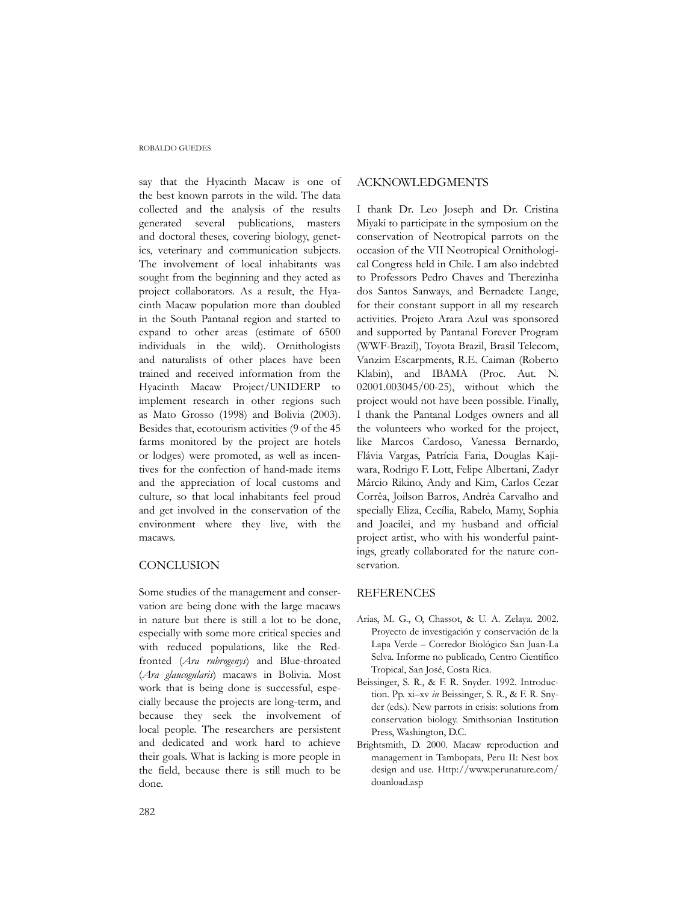#### ROBALDO GUEDES

say that the Hyacinth Macaw is one of the best known parrots in the wild. The data collected and the analysis of the results generated several publications, masters and doctoral theses, covering biology, genetics, veterinary and communication subjects. The involvement of local inhabitants was sought from the beginning and they acted as project collaborators. As a result, the Hyacinth Macaw population more than doubled in the South Pantanal region and started to expand to other areas (estimate of 6500 individuals in the wild). Ornithologists and naturalists of other places have been trained and received information from the Hyacinth Macaw Project/UNIDERP to implement research in other regions such as Mato Grosso (1998) and Bolivia (2003). Besides that, ecotourism activities (9 of the 45 farms monitored by the project are hotels or lodges) were promoted, as well as incentives for the confection of hand-made items and the appreciation of local customs and culture, so that local inhabitants feel proud and get involved in the conservation of the environment where they live, with the macaws.

### **CONCLUSION**

Some studies of the management and conservation are being done with the large macaws in nature but there is still a lot to be done, especially with some more critical species and with reduced populations, like the Redfronted (*Ara rubrogenys*) and Blue-throated (*Ara glaucogularis*) macaws in Bolivia. Most work that is being done is successful, especially because the projects are long-term, and because they seek the involvement of local people. The researchers are persistent and dedicated and work hard to achieve their goals. What is lacking is more people in the field, because there is still much to be done.

### ACKNOWLEDGMENTS

I thank Dr. Leo Joseph and Dr. Cristina Miyaki to participate in the symposium on the conservation of Neotropical parrots on the occasion of the VII Neotropical Ornithological Congress held in Chile. I am also indebted to Professors Pedro Chaves and Therezinha dos Santos Sanways, and Bernadete Lange, for their constant support in all my research activities. Projeto Arara Azul was sponsored and supported by Pantanal Forever Program (WWF-Brazil), Toyota Brazil, Brasil Telecom, Vanzim Escarpments, R.E. Caiman (Roberto Klabin), and IBAMA (Proc. Aut. N. 02001.003045/00-25), without which the project would not have been possible. Finally, I thank the Pantanal Lodges owners and all the volunteers who worked for the project, like Marcos Cardoso, Vanessa Bernardo, Flávia Vargas, Patrícia Faria, Douglas Kajiwara, Rodrigo F. Lott, Felipe Albertani, Zadyr Márcio Rikino, Andy and Kim, Carlos Cezar Corrêa, Joilson Barros, Andréa Carvalho and specially Eliza, Cecília, Rabelo, Mamy, Sophia and Joacilei, and my husband and official project artist, who with his wonderful paintings, greatly collaborated for the nature conservation.

### REFERENCES

- Arias, M. G., O, Chassot, & U. A. Zelaya. 2002. Proyecto de investigación y conservación de la Lapa Verde – Corredor Biológico San Juan-La Selva. Informe no publicado, Centro Científico Tropical, San José, Costa Rica.
- Beissinger, S. R., & F. R. Snyder. 1992. Introduction. Pp. xi–xv *in* Beissinger, S. R., & F. R. Snyder (eds.). New parrots in crisis: solutions from conservation biology. Smithsonian Institution Press, Washington, D.C.
- Brightsmith, D. 2000. Macaw reproduction and management in Tambopata, Peru II: Nest box design and use. Http://www.perunature.com/ doanload.asp